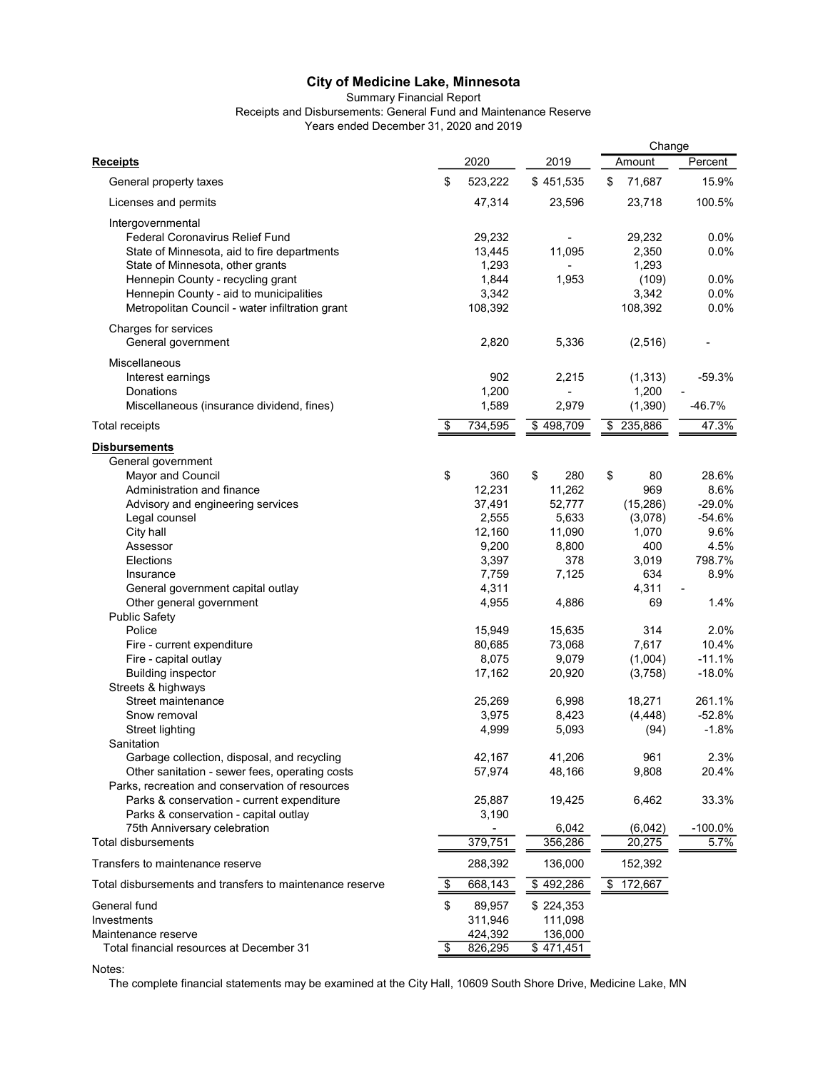## Summary Financial Report

Receipts and Disbursements: General Fund and Maintenance Reserve

Years ended December 31, 2020 and 2019

|                                                          |               |                  | Change                 |            |
|----------------------------------------------------------|---------------|------------------|------------------------|------------|
| <b>Receipts</b>                                          | 2020          | 2019             | Amount                 | Percent    |
| General property taxes                                   | \$<br>523,222 | \$451,535        | \$<br>71,687           | 15.9%      |
| Licenses and permits                                     | 47,314        | 23,596           | 23,718                 | 100.5%     |
| Intergovernmental                                        |               |                  |                        |            |
| <b>Federal Coronavirus Relief Fund</b>                   | 29,232        |                  | 29,232                 | 0.0%       |
| State of Minnesota, aid to fire departments              | 13,445        | 11,095           | 2,350                  | 0.0%       |
| State of Minnesota, other grants                         | 1,293         |                  | 1,293                  |            |
| Hennepin County - recycling grant                        | 1,844         | 1,953            | (109)                  | 0.0%       |
|                                                          |               |                  |                        | 0.0%       |
| Hennepin County - aid to municipalities                  | 3,342         |                  | 3,342                  |            |
| Metropolitan Council - water infiltration grant          | 108,392       |                  | 108,392                | 0.0%       |
| Charges for services                                     |               |                  |                        |            |
| General government                                       | 2,820         | 5,336            | (2, 516)               |            |
| Miscellaneous                                            |               |                  |                        |            |
| Interest earnings                                        | 902           | 2,215            | (1, 313)               | $-59.3%$   |
| Donations                                                | 1,200         |                  | 1,200                  |            |
| Miscellaneous (insurance dividend, fines)                | 1,589         | 2,979            | (1, 390)               | $-46.7%$   |
| <b>Total receipts</b>                                    | \$<br>734,595 | \$498,709        | \$ 235,886             | 47.3%      |
| <b>Disbursements</b>                                     |               |                  |                        |            |
| General government                                       |               |                  |                        |            |
| Mayor and Council                                        | \$<br>360     | \$<br>280        | \$<br>80               | 28.6%      |
| Administration and finance                               | 12,231        | 11,262           | 969                    | 8.6%       |
| Advisory and engineering services                        | 37,491        | 52,777           | (15, 286)              | $-29.0%$   |
| Legal counsel                                            | 2,555         | 5,633            | (3,078)                | $-54.6%$   |
| City hall                                                | 12,160        | 11,090           | 1,070                  | 9.6%       |
| Assessor                                                 | 9,200         | 8,800            | 400                    | 4.5%       |
| Elections                                                | 3,397         | 378              | 3,019                  | 798.7%     |
| Insurance                                                | 7,759         | 7,125            | 634                    | 8.9%       |
| General government capital outlay                        | 4,311         |                  | 4,311                  |            |
| Other general government                                 | 4,955         | 4,886            | 69                     | 1.4%       |
| <b>Public Safety</b>                                     |               |                  |                        |            |
| Police                                                   | 15,949        | 15,635           | 314                    | 2.0%       |
| Fire - current expenditure                               | 80,685        | 73,068           | 7,617                  | 10.4%      |
| Fire - capital outlay                                    | 8,075         | 9,079            | (1,004)                | $-11.1%$   |
| <b>Building inspector</b>                                | 17,162        | 20,920           | (3,758)                | $-18.0%$   |
| Streets & highways                                       |               |                  |                        |            |
| Street maintenance                                       | 25,269        | 6,998            | 18,271                 | 261.1%     |
| Snow removal                                             | 3,975         | 8,423            | (4, 448)               | $-52.8%$   |
| Street lighting                                          | 4,999         | 5,093            | (94)                   | $-1.8%$    |
| Sanitation                                               |               |                  |                        |            |
| Garbage collection, disposal, and recycling              | 42,167        | 41,206           | 961                    | 2.3%       |
| Other sanitation - sewer fees, operating costs           | 57,974        | 48,166           | 9,808                  | 20.4%      |
| Parks, recreation and conservation of resources          |               |                  |                        |            |
| Parks & conservation - current expenditure               | 25,887        | 19,425           | 6,462                  | 33.3%      |
| Parks & conservation - capital outlay                    | 3,190         |                  |                        |            |
| 75th Anniversary celebration                             |               | 6,042            | (6,042)                | $-100.0\%$ |
| Total disbursements                                      | 379,751       | 356,286          | 20,275                 | 5.7%       |
|                                                          |               |                  |                        |            |
| Transfers to maintenance reserve                         | 288,392       | 136,000          | 152,392                |            |
| Total disbursements and transfers to maintenance reserve | \$<br>668,143 | \$492,286        | $\overline{5}$ 172,667 |            |
| General fund                                             | \$<br>89,957  | \$224,353        |                        |            |
| Investments                                              | 311,946       | 111,098          |                        |            |
| Maintenance reserve                                      | 424,392       | 136,000          |                        |            |
| Total financial resources at December 31                 | \$<br>826,295 | $\sqrt{471,451}$ |                        |            |

Notes:

The complete financial statements may be examined at the City Hall, 10609 South Shore Drive, Medicine Lake, MN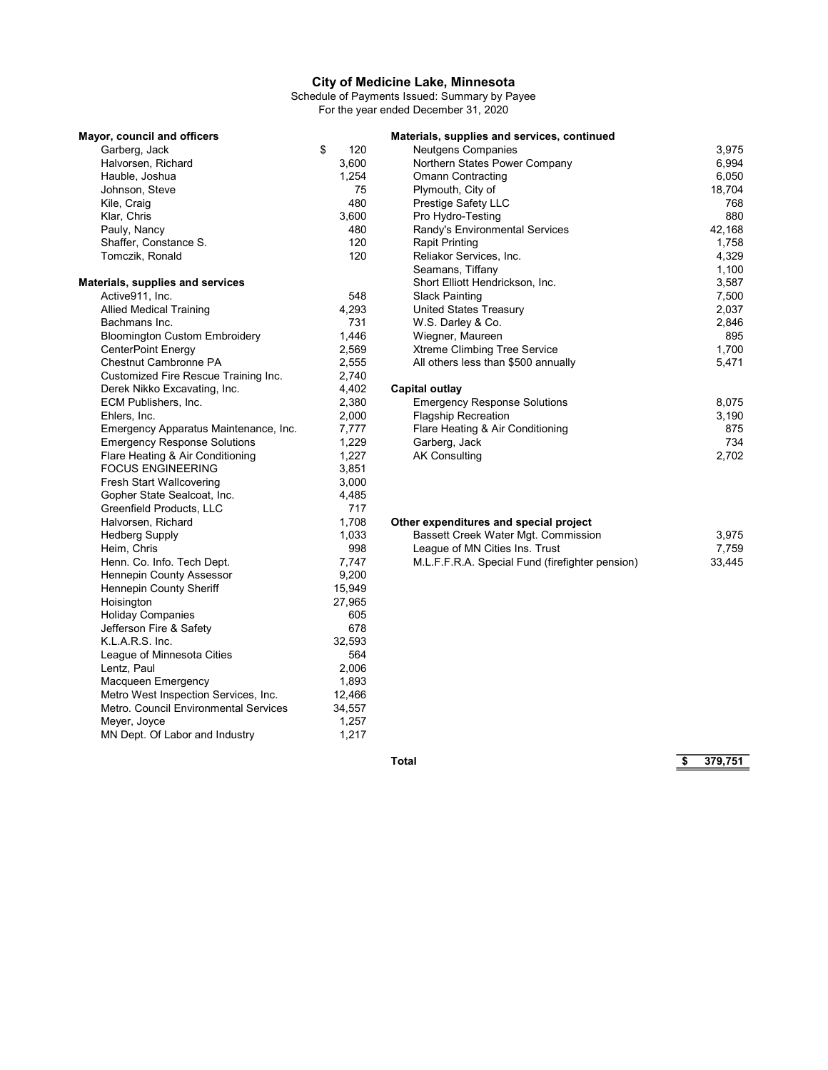Schedule of Payments Issued: Summary by Payee For the year ended December 31, 2020

| Mayor, council and officers           |           | Materials, supplies and services, continued     |        |
|---------------------------------------|-----------|-------------------------------------------------|--------|
| Garberg, Jack                         | \$<br>120 | <b>Neutgens Companies</b>                       | 3,975  |
| Halvorsen, Richard                    | 3,600     | Northern States Power Company                   | 6,994  |
| Hauble, Joshua                        | 1,254     | <b>Omann Contracting</b>                        | 6,050  |
| Johnson, Steve                        | 75        | Plymouth, City of                               | 18,704 |
| Kile, Craig                           | 480       | Prestige Safety LLC                             | 768    |
| Klar, Chris                           | 3,600     | Pro Hydro-Testing                               | 880    |
| Pauly, Nancy                          | 480       | Randy's Environmental Services                  | 42,168 |
| Shaffer, Constance S.                 | 120       | <b>Rapit Printing</b>                           | 1,758  |
| Tomczik, Ronald                       | 120       | Reliakor Services, Inc.                         | 4,329  |
|                                       |           | Seamans, Tiffany                                | 1,100  |
| Materials, supplies and services      |           | Short Elliott Hendrickson, Inc.                 | 3,587  |
| Active911, Inc.                       | 548       | <b>Slack Painting</b>                           | 7,500  |
| <b>Allied Medical Training</b>        | 4,293     | <b>United States Treasury</b>                   | 2,037  |
| Bachmans Inc.                         | 731       | W.S. Darley & Co.                               | 2,846  |
| <b>Bloomington Custom Embroidery</b>  | 1,446     | Wiegner, Maureen                                | 895    |
| CenterPoint Energy                    | 2,569     | Xtreme Climbing Tree Service                    | 1,700  |
| Chestnut Cambronne PA                 | 2,555     | All others less than \$500 annually             | 5,471  |
| Customized Fire Rescue Training Inc.  | 2,740     |                                                 |        |
| Derek Nikko Excavating, Inc.          | 4,402     | <b>Capital outlay</b>                           |        |
| ECM Publishers, Inc.                  | 2,380     | <b>Emergency Response Solutions</b>             | 8,075  |
| Ehlers, Inc.                          | 2,000     | <b>Flagship Recreation</b>                      | 3,190  |
| Emergency Apparatus Maintenance, Inc. | 7,777     | Flare Heating & Air Conditioning                | 875    |
| <b>Emergency Response Solutions</b>   | 1,229     | Garberg, Jack                                   | 734    |
| Flare Heating & Air Conditioning      | 1,227     | <b>AK Consulting</b>                            | 2,702  |
| <b>FOCUS ENGINEERING</b>              | 3,851     |                                                 |        |
| <b>Fresh Start Wallcovering</b>       | 3,000     |                                                 |        |
| Gopher State Sealcoat, Inc.           | 4,485     |                                                 |        |
| Greenfield Products, LLC              | 717       |                                                 |        |
| Halvorsen, Richard                    | 1,708     | Other expenditures and special project          |        |
| <b>Hedberg Supply</b>                 | 1,033     | Bassett Creek Water Mgt. Commission             | 3,975  |
| Heim, Chris                           | 998       | League of MN Cities Ins. Trust                  | 7,759  |
| Henn. Co. Info. Tech Dept.            | 7,747     | M.L.F.F.R.A. Special Fund (firefighter pension) | 33,445 |
| Hennepin County Assessor              | 9,200     |                                                 |        |
| Hennepin County Sheriff               | 15,949    |                                                 |        |
| Hoisington                            | 27,965    |                                                 |        |
| <b>Holiday Companies</b>              | 605       |                                                 |        |
| Jefferson Fire & Safety               | 678       |                                                 |        |
| K.L.A.R.S. Inc.                       | 32,593    |                                                 |        |
| League of Minnesota Cities            | 564       |                                                 |        |
| Lentz, Paul                           | 2,006     |                                                 |        |
| Macqueen Emergency                    | 1,893     |                                                 |        |
| Metro West Inspection Services, Inc.  | 12,466    |                                                 |        |
| Metro. Council Environmental Services | 34,557    |                                                 |        |
| Meyer, Joyce                          | 1,257     |                                                 |        |
| MN Dept. Of Labor and Industry        | 1,217     |                                                 |        |

Total \$ 379,751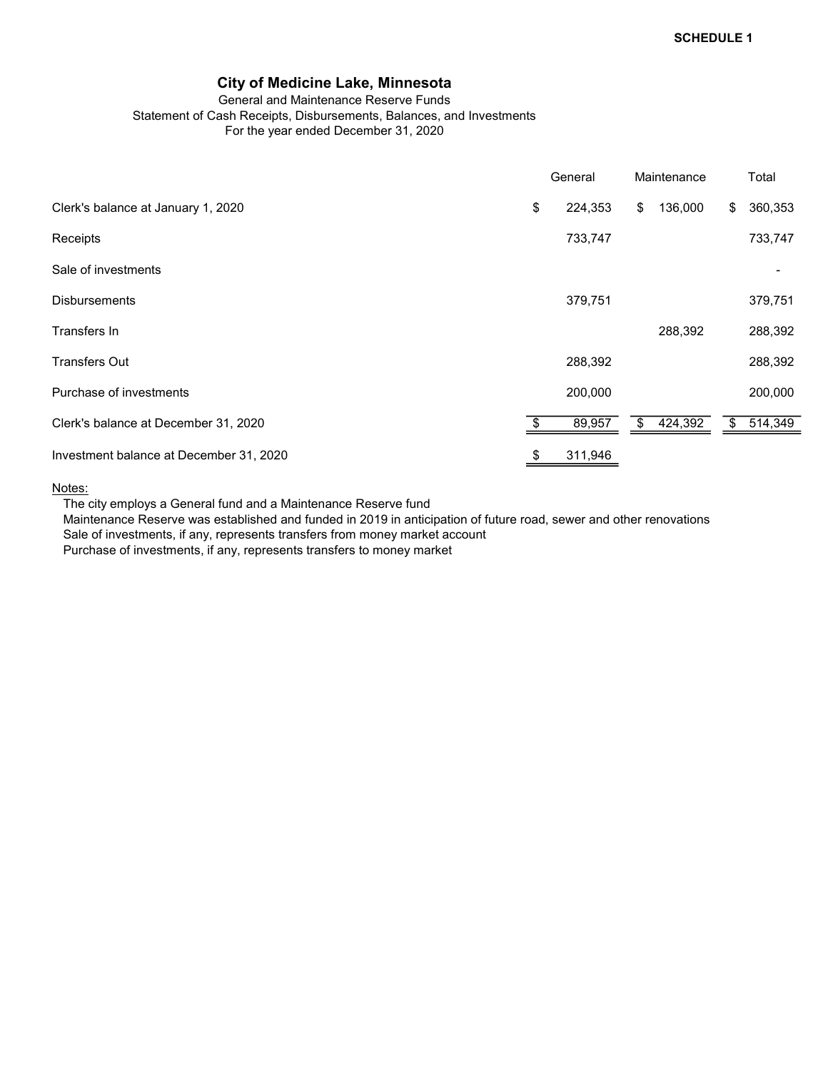#### General and Maintenance Reserve Funds Statement of Cash Receipts, Disbursements, Balances, and Investments For the year ended December 31, 2020

|                                         | General       | Maintenance   | Total         |
|-----------------------------------------|---------------|---------------|---------------|
| Clerk's balance at January 1, 2020      | \$<br>224,353 | \$<br>136,000 | \$<br>360,353 |
| Receipts                                | 733,747       |               | 733,747       |
| Sale of investments                     |               |               |               |
| <b>Disbursements</b>                    | 379,751       |               | 379,751       |
| Transfers In                            |               | 288,392       | 288,392       |
| <b>Transfers Out</b>                    | 288,392       |               | 288,392       |
| Purchase of investments                 | 200,000       |               | 200,000       |
| Clerk's balance at December 31, 2020    | 89,957        | \$<br>424,392 | \$<br>514,349 |
| Investment balance at December 31, 2020 | \$<br>311,946 |               |               |

#### Notes:

The city employs a General fund and a Maintenance Reserve fund

Maintenance Reserve was established and funded in 2019 in anticipation of future road, sewer and other renovations Sale of investments, if any, represents transfers from money market account

Purchase of investments, if any, represents transfers to money market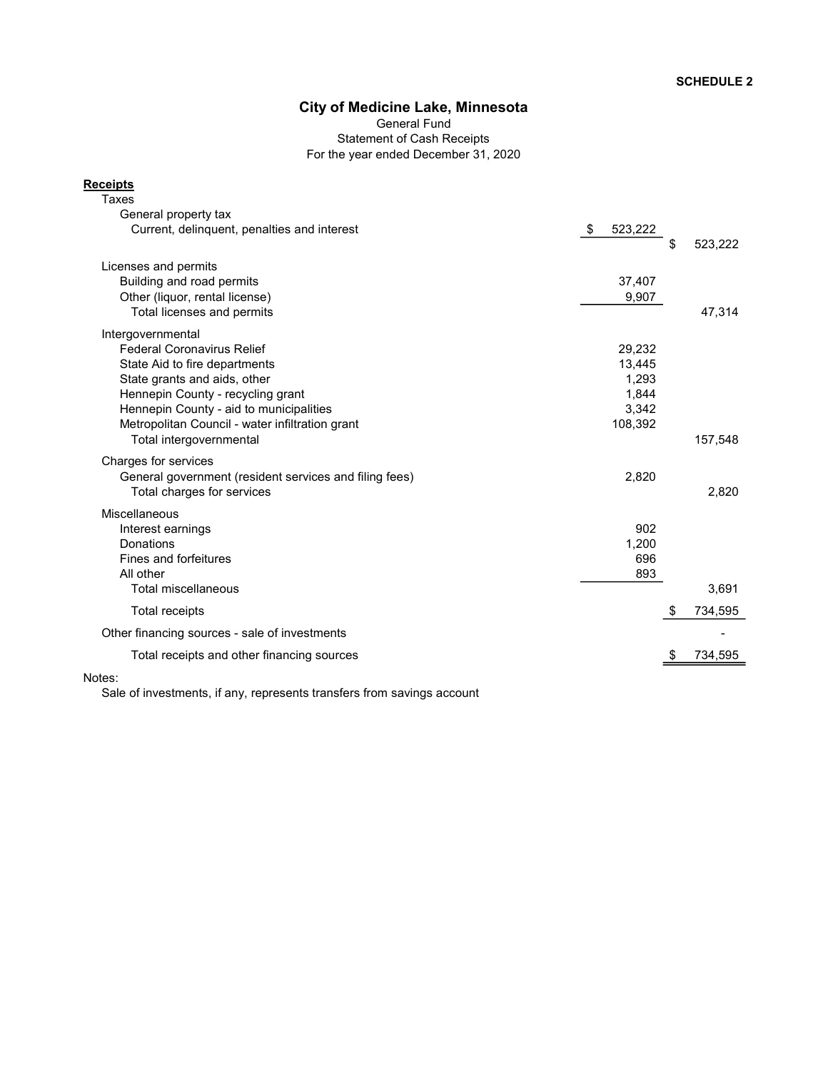General Fund Statement of Cash Receipts For the year ended December 31, 2020

#### **Receipts**

| Taxes                                                  |               |               |
|--------------------------------------------------------|---------------|---------------|
| General property tax                                   |               |               |
| Current, delinguent, penalties and interest            | 523,222<br>\$ |               |
|                                                        |               | \$<br>523,222 |
| Licenses and permits                                   |               |               |
| Building and road permits                              | 37,407        |               |
| Other (liquor, rental license)                         | 9,907         |               |
| Total licenses and permits                             |               | 47,314        |
| Intergovernmental                                      |               |               |
| <b>Federal Coronavirus Relief</b>                      | 29,232        |               |
| State Aid to fire departments                          | 13,445        |               |
| State grants and aids, other                           | 1,293         |               |
| Hennepin County - recycling grant                      | 1.844         |               |
| Hennepin County - aid to municipalities                | 3,342         |               |
| Metropolitan Council - water infiltration grant        | 108,392       |               |
| Total intergovernmental                                |               | 157,548       |
| Charges for services                                   |               |               |
| General government (resident services and filing fees) | 2,820         |               |
| Total charges for services                             |               | 2,820         |
| Miscellaneous                                          |               |               |
| Interest earnings                                      | 902           |               |
| Donations                                              | 1,200         |               |
| Fines and forfeitures                                  | 696           |               |
| All other                                              | 893           |               |
| Total miscellaneous                                    |               | 3,691         |
| <b>Total receipts</b>                                  | \$            | 734,595       |
| Other financing sources - sale of investments          |               |               |
| Total receipts and other financing sources             |               | 734,595       |
|                                                        |               |               |

Notes:

Sale of investments, if any, represents transfers from savings account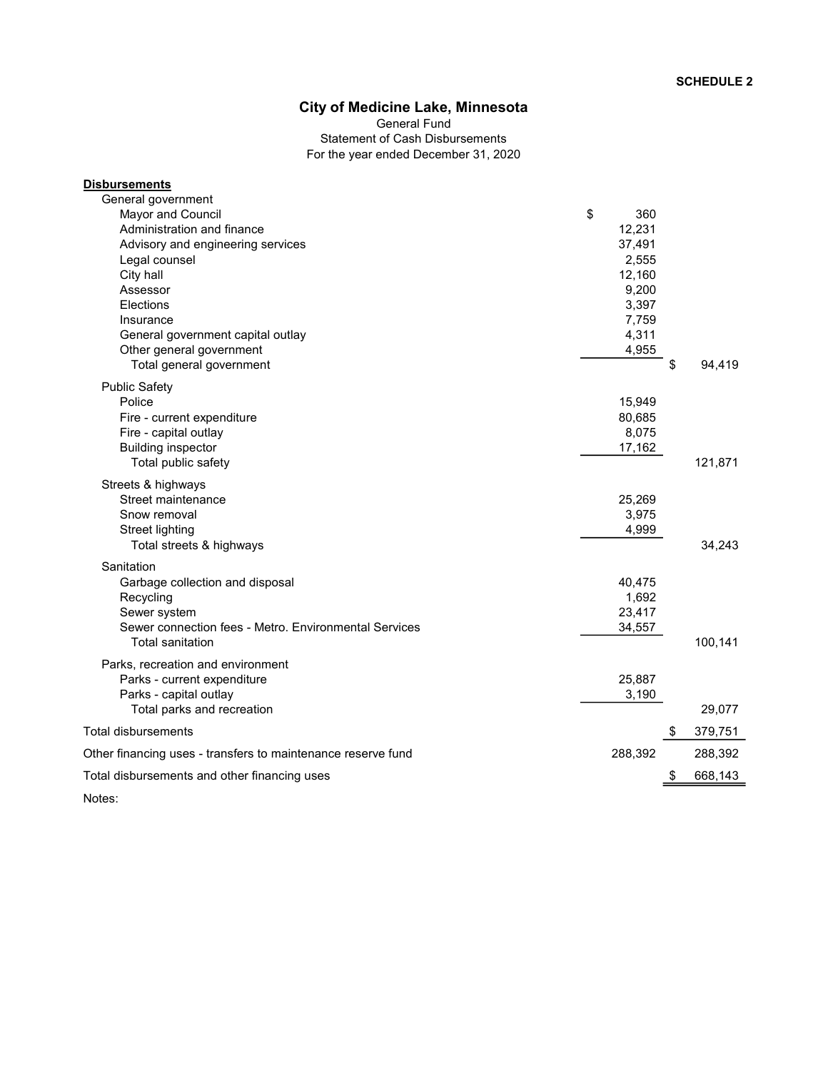Statement of Cash Disbursements For the year ended December 31, 2020 General Fund

| <b>Disbursements</b>                                         |         |     |         |
|--------------------------------------------------------------|---------|-----|---------|
| General government                                           |         |     |         |
| Mayor and Council                                            | \$      | 360 |         |
| Administration and finance                                   | 12,231  |     |         |
| Advisory and engineering services                            | 37,491  |     |         |
| Legal counsel                                                | 2,555   |     |         |
| City hall                                                    | 12,160  |     |         |
| Assessor                                                     | 9,200   |     |         |
| Elections                                                    | 3,397   |     |         |
| Insurance                                                    | 7,759   |     |         |
| General government capital outlay                            | 4,311   |     |         |
| Other general government                                     | 4,955   |     |         |
| Total general government                                     |         | \$  | 94,419  |
| <b>Public Safety</b>                                         |         |     |         |
| Police                                                       | 15,949  |     |         |
| Fire - current expenditure                                   | 80,685  |     |         |
| Fire - capital outlay                                        | 8,075   |     |         |
| <b>Building inspector</b>                                    | 17,162  |     |         |
| Total public safety                                          |         |     | 121,871 |
| Streets & highways                                           |         |     |         |
| Street maintenance                                           | 25,269  |     |         |
| Snow removal                                                 | 3,975   |     |         |
| <b>Street lighting</b>                                       | 4,999   |     |         |
| Total streets & highways                                     |         |     | 34,243  |
| Sanitation                                                   |         |     |         |
| Garbage collection and disposal                              | 40,475  |     |         |
| Recycling                                                    | 1,692   |     |         |
| Sewer system                                                 | 23,417  |     |         |
| Sewer connection fees - Metro, Environmental Services        | 34,557  |     |         |
| Total sanitation                                             |         |     | 100,141 |
|                                                              |         |     |         |
| Parks, recreation and environment                            |         |     |         |
| Parks - current expenditure                                  | 25,887  |     |         |
| Parks - capital outlay                                       | 3,190   |     | 29,077  |
| Total parks and recreation                                   |         |     |         |
| <b>Total disbursements</b>                                   |         | \$  | 379,751 |
| Other financing uses - transfers to maintenance reserve fund | 288,392 |     | 288,392 |
| Total disbursements and other financing uses                 |         | S   | 668,143 |
| Notes:                                                       |         |     |         |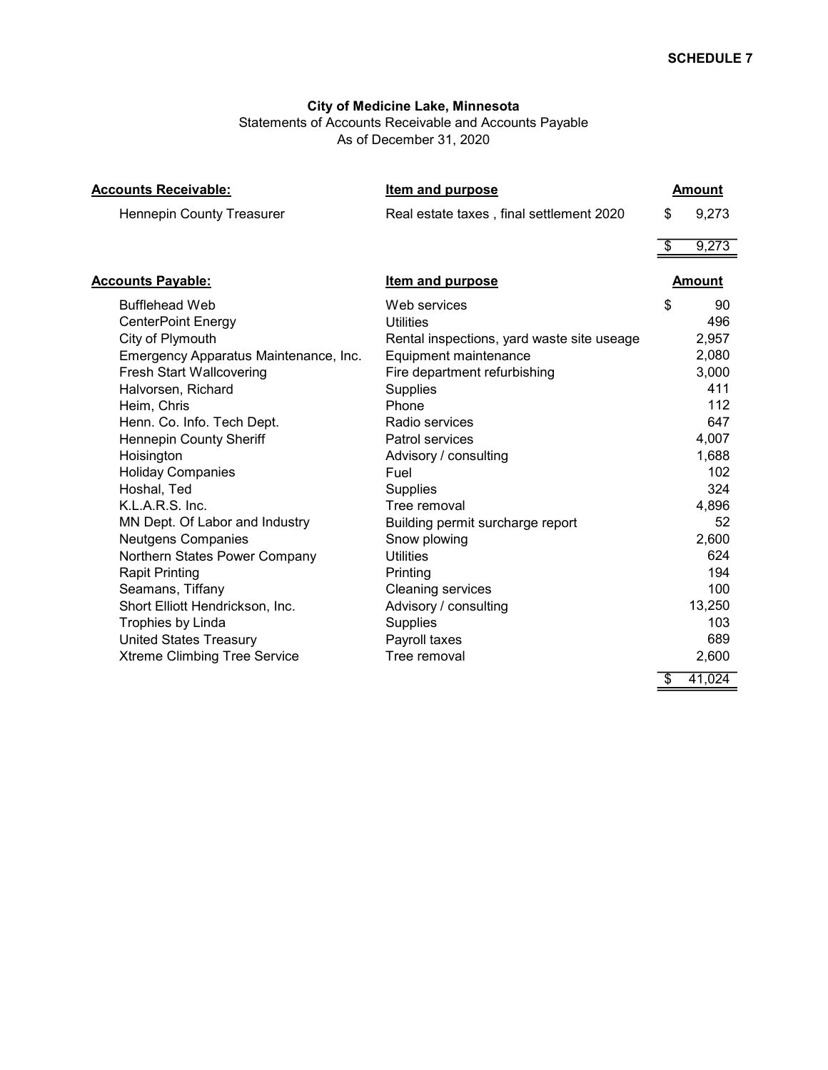Statements of Accounts Receivable and Accounts Payable As of December 31, 2020

| <b>Accounts Receivable:</b>           | <b>Item and purpose</b>                    | <b>Amount</b> |
|---------------------------------------|--------------------------------------------|---------------|
| <b>Hennepin County Treasurer</b>      | Real estate taxes, final settlement 2020   | \$<br>9,273   |
|                                       |                                            | \$<br>9,273   |
| <b>Accounts Payable:</b>              | Item and purpose                           | <b>Amount</b> |
| <b>Bufflehead Web</b>                 | Web services                               | \$<br>90      |
| <b>CenterPoint Energy</b>             | Utilities                                  | 496           |
| City of Plymouth                      | Rental inspections, yard waste site useage | 2,957         |
| Emergency Apparatus Maintenance, Inc. | Equipment maintenance                      | 2,080         |
| <b>Fresh Start Wallcovering</b>       | Fire department refurbishing               | 3,000         |
| Halvorsen, Richard                    | <b>Supplies</b>                            | 411           |
| Heim, Chris                           | Phone                                      | 112           |
| Henn. Co. Info. Tech Dept.            | Radio services                             | 647           |
| Hennepin County Sheriff               | Patrol services                            | 4,007         |
| Hoisington                            | Advisory / consulting                      | 1,688         |
| <b>Holiday Companies</b>              | Fuel                                       | 102           |
| Hoshal, Ted                           | Supplies                                   | 324           |
| K.L.A.R.S. Inc.                       | Tree removal                               | 4,896         |
| MN Dept. Of Labor and Industry        | Building permit surcharge report           | 52            |
| Neutgens Companies                    | Snow plowing                               | 2,600         |
| Northern States Power Company         | <b>Utilities</b>                           | 624           |
| <b>Rapit Printing</b>                 | Printing                                   | 194           |
| Seamans, Tiffany                      | <b>Cleaning services</b>                   | 100           |
| Short Elliott Hendrickson, Inc.       | Advisory / consulting                      | 13,250        |
| Trophies by Linda                     | <b>Supplies</b>                            | 103           |
| <b>United States Treasury</b>         | Payroll taxes                              | 689           |
| <b>Xtreme Climbing Tree Service</b>   | Tree removal                               | 2,600         |
|                                       |                                            | \$<br>41,024  |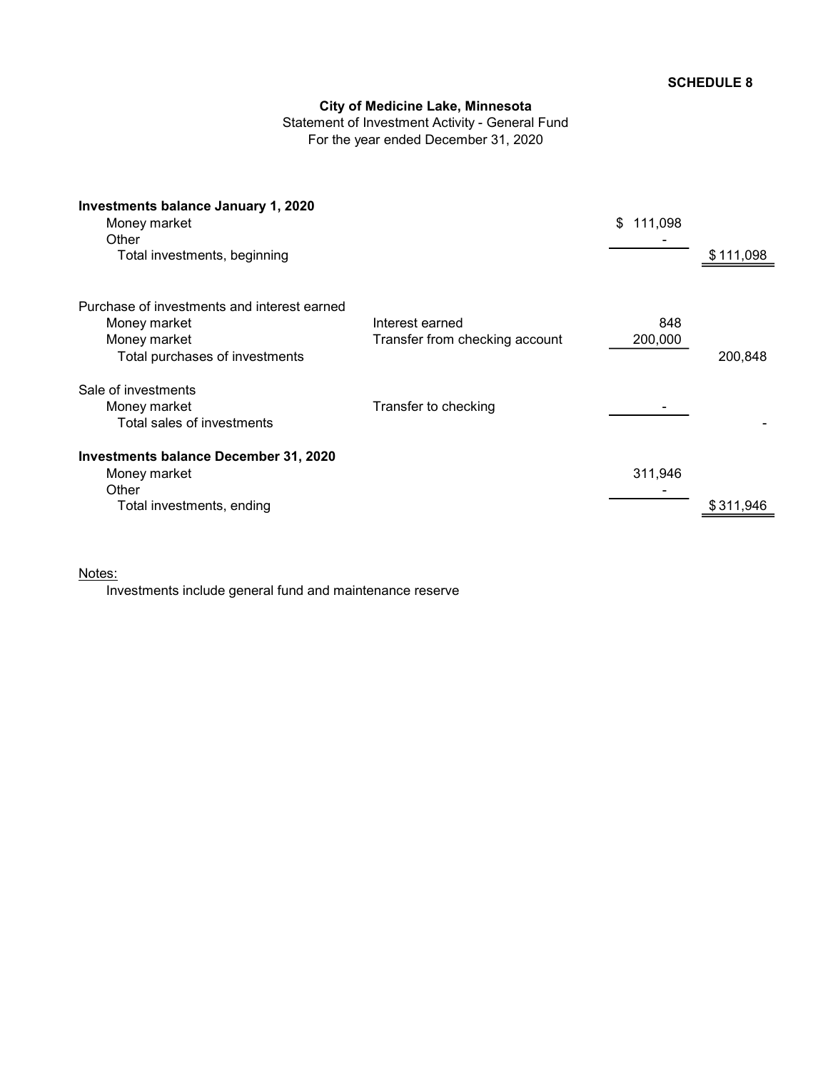Statement of Investment Activity - General Fund For the year ended December 31, 2020

| <b>Investments balance January 1, 2020</b><br>Money market<br>Other |                                | \$<br>111,098 |           |
|---------------------------------------------------------------------|--------------------------------|---------------|-----------|
| Total investments, beginning                                        |                                |               | \$111,098 |
| Purchase of investments and interest earned                         |                                |               |           |
| Money market                                                        | Interest earned                | 848           |           |
| Money market                                                        | Transfer from checking account | 200,000       |           |
| Total purchases of investments                                      |                                |               | 200,848   |
| Sale of investments                                                 |                                |               |           |
| Money market                                                        | Transfer to checking           |               |           |
| Total sales of investments                                          |                                |               |           |
| <b>Investments balance December 31, 2020</b>                        |                                |               |           |
| Money market                                                        |                                | 311,946       |           |
| Other                                                               |                                |               |           |
| Total investments, ending                                           |                                |               | \$311,946 |

## Notes:

Investments include general fund and maintenance reserve